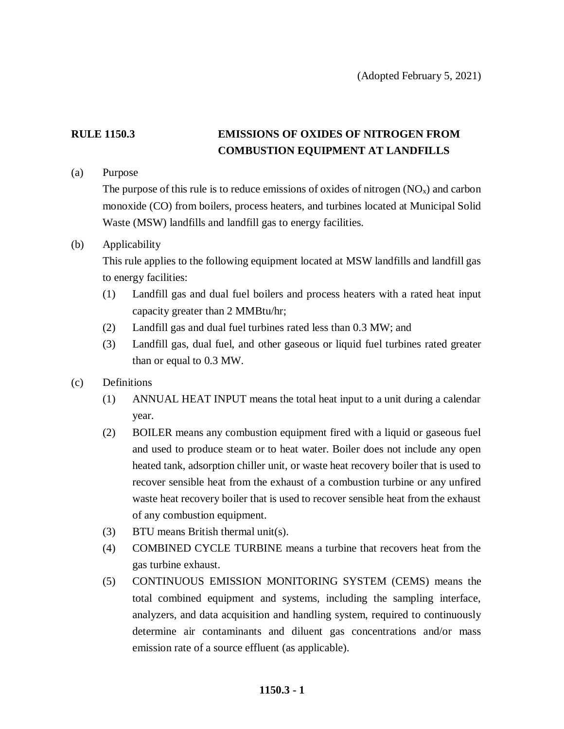## **RULE 1150.3 EMISSIONS OF OXIDES OF NITROGEN FROM COMBUSTION EQUIPMENT AT LANDFILLS**

(a) Purpose

The purpose of this rule is to reduce emissions of oxides of nitrogen  $(NO<sub>x</sub>)$  and carbon monoxide (CO) from boilers, process heaters, and turbines located at Municipal Solid Waste (MSW) landfills and landfill gas to energy facilities.

### (b) Applicability

This rule applies to the following equipment located at MSW landfills and landfill gas to energy facilities:

- (1) Landfill gas and dual fuel boilers and process heaters with a rated heat input capacity greater than 2 MMBtu/hr;
- (2) Landfill gas and dual fuel turbines rated less than 0.3 MW; and
- (3) Landfill gas, dual fuel, and other gaseous or liquid fuel turbines rated greater than or equal to 0.3 MW.
- (c) Definitions
	- (1) ANNUAL HEAT INPUT means the total heat input to a unit during a calendar year.
	- (2) BOILER means any combustion equipment fired with a liquid or gaseous fuel and used to produce steam or to heat water. Boiler does not include any open heated tank, adsorption chiller unit, or waste heat recovery boiler that is used to recover sensible heat from the exhaust of a combustion turbine or any unfired waste heat recovery boiler that is used to recover sensible heat from the exhaust of any combustion equipment.
	- (3) BTU means British thermal unit(s).
	- (4) COMBINED CYCLE TURBINE means a turbine that recovers heat from the gas turbine exhaust.
	- (5) CONTINUOUS EMISSION MONITORING SYSTEM (CEMS) means the total combined equipment and systems, including the sampling interface, analyzers, and data acquisition and handling system, required to continuously determine air contaminants and diluent gas concentrations and/or mass emission rate of a source effluent (as applicable).

### **1150.3 - 1**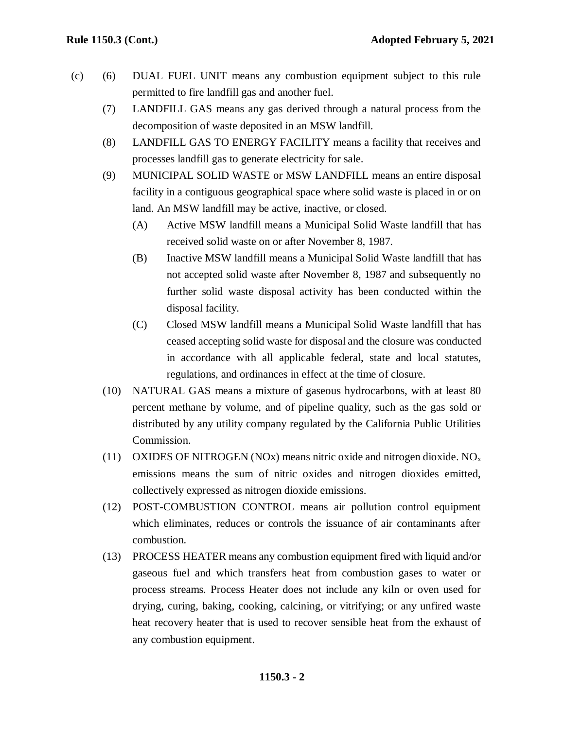- (c) (6) DUAL FUEL UNIT means any combustion equipment subject to this rule permitted to fire landfill gas and another fuel.
	- (7) LANDFILL GAS means any gas derived through a natural process from the decomposition of waste deposited in an MSW landfill.
	- (8) LANDFILL GAS TO ENERGY FACILITY means a facility that receives and processes landfill gas to generate electricity for sale.
	- (9) MUNICIPAL SOLID WASTE or MSW LANDFILL means an entire disposal facility in a contiguous geographical space where solid waste is placed in or on land. An MSW landfill may be active, inactive, or closed.
		- (A) Active MSW landfill means a Municipal Solid Waste landfill that has received solid waste on or after November 8, 1987.
		- (B) Inactive MSW landfill means a Municipal Solid Waste landfill that has not accepted solid waste after November 8, 1987 and subsequently no further solid waste disposal activity has been conducted within the disposal facility.
		- (C) Closed MSW landfill means a Municipal Solid Waste landfill that has ceased accepting solid waste for disposal and the closure was conducted in accordance with all applicable federal, state and local statutes, regulations, and ordinances in effect at the time of closure.
	- (10) NATURAL GAS means a mixture of gaseous hydrocarbons, with at least 80 percent methane by volume, and of pipeline quality, such as the gas sold or distributed by any utility company regulated by the California Public Utilities Commission.
	- (11) OXIDES OF NITROGEN (NOx) means nitric oxide and nitrogen dioxide. NO<sub>x</sub> emissions means the sum of nitric oxides and nitrogen dioxides emitted, collectively expressed as nitrogen dioxide emissions.
	- (12) POST-COMBUSTION CONTROL means air pollution control equipment which eliminates, reduces or controls the issuance of air contaminants after combustion.
	- (13) PROCESS HEATER means any combustion equipment fired with liquid and/or gaseous fuel and which transfers heat from combustion gases to water or process streams. Process Heater does not include any kiln or oven used for drying, curing, baking, cooking, calcining, or vitrifying; or any unfired waste heat recovery heater that is used to recover sensible heat from the exhaust of any combustion equipment.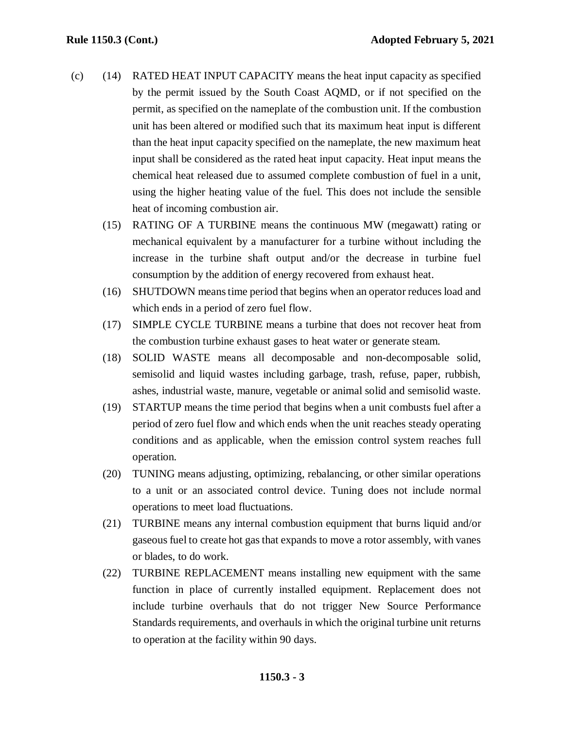- (c) (14) RATED HEAT INPUT CAPACITY means the heat input capacity as specified by the permit issued by the South Coast AQMD, or if not specified on the permit, as specified on the nameplate of the combustion unit. If the combustion unit has been altered or modified such that its maximum heat input is different than the heat input capacity specified on the nameplate, the new maximum heat input shall be considered as the rated heat input capacity. Heat input means the chemical heat released due to assumed complete combustion of fuel in a unit, using the higher heating value of the fuel. This does not include the sensible heat of incoming combustion air.
	- (15) RATING OF A TURBINE means the continuous MW (megawatt) rating or mechanical equivalent by a manufacturer for a turbine without including the increase in the turbine shaft output and/or the decrease in turbine fuel consumption by the addition of energy recovered from exhaust heat.
	- (16) SHUTDOWN meanstime period that begins when an operator reduces load and which ends in a period of zero fuel flow.
	- (17) SIMPLE CYCLE TURBINE means a turbine that does not recover heat from the combustion turbine exhaust gases to heat water or generate steam.
	- (18) SOLID WASTE means all decomposable and non-decomposable solid, semisolid and liquid wastes including garbage, trash, refuse, paper, rubbish, ashes, industrial waste, manure, vegetable or animal solid and semisolid waste.
	- (19) STARTUP means the time period that begins when a unit combusts fuel after a period of zero fuel flow and which ends when the unit reaches steady operating conditions and as applicable, when the emission control system reaches full operation.
	- (20) TUNING means adjusting, optimizing, rebalancing, or other similar operations to a unit or an associated control device. Tuning does not include normal operations to meet load fluctuations.
	- (21) TURBINE means any internal combustion equipment that burns liquid and/or gaseous fuel to create hot gas that expands to move a rotor assembly, with vanes or blades, to do work.
	- (22) TURBINE REPLACEMENT means installing new equipment with the same function in place of currently installed equipment. Replacement does not include turbine overhauls that do not trigger New Source Performance Standards requirements, and overhauls in which the original turbine unit returns to operation at the facility within 90 days.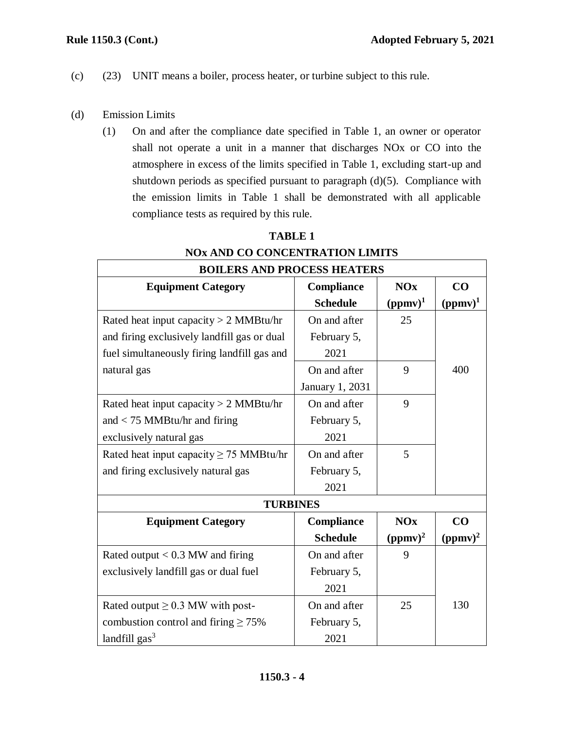- (c) (23) UNIT means a boiler, process heater, or turbine subject to this rule.
- (d) Emission Limits
	- (1) On and after the compliance date specified in Table 1, an owner or operator shall not operate a unit in a manner that discharges NOx or CO into the atmosphere in excess of the limits specified in Table 1, excluding start-up and shutdown periods as specified pursuant to paragraph (d)(5). Compliance with the emission limits in Table 1 shall be demonstrated with all applicable compliance tests as required by this rule.

| <b>BOILERS AND PROCESS HEATERS</b>           |                   |            |            |  |
|----------------------------------------------|-------------------|------------|------------|--|
| <b>Equipment Category</b>                    | <b>Compliance</b> | NOx        | CO         |  |
|                                              | <b>Schedule</b>   | $(ppmv)^1$ | $(ppmv)^1$ |  |
| Rated heat input capacity $> 2$ MMBtu/hr     | On and after      | 25         |            |  |
| and firing exclusively landfill gas or dual  | February 5,       |            |            |  |
| fuel simultaneously firing landfill gas and  | 2021              |            |            |  |
| natural gas                                  | On and after      | 9          | 400        |  |
|                                              | January 1, 2031   |            |            |  |
| Rated heat input capacity $> 2$ MMBtu/hr     | On and after      | 9          |            |  |
| and $<$ 75 MMBtu/hr and firing               | February 5,       |            |            |  |
| exclusively natural gas                      | 2021              |            |            |  |
| Rated heat input capacity $\geq$ 75 MMBtu/hr | On and after      | 5          |            |  |
| and firing exclusively natural gas           | February 5,       |            |            |  |
|                                              | 2021              |            |            |  |
| <b>TURBINES</b>                              |                   |            |            |  |
| <b>Equipment Category</b>                    | <b>Compliance</b> | NOx        | CO         |  |
|                                              | <b>Schedule</b>   | $(ppmv)^2$ | $(ppmv)^2$ |  |
| Rated output $< 0.3$ MW and firing           | On and after      | 9          |            |  |
| exclusively landfill gas or dual fuel        | February 5,       |            |            |  |
|                                              | 2021              |            |            |  |
| Rated output $\geq$ 0.3 MW with post-        | On and after      | 25         | 130        |  |
| combustion control and firing $\geq 75\%$    | February 5,       |            |            |  |
| landfill gas <sup>3</sup>                    | 2021              |            |            |  |

# **TABLE 1 NOx AND CO CONCENTRATION LIMITS**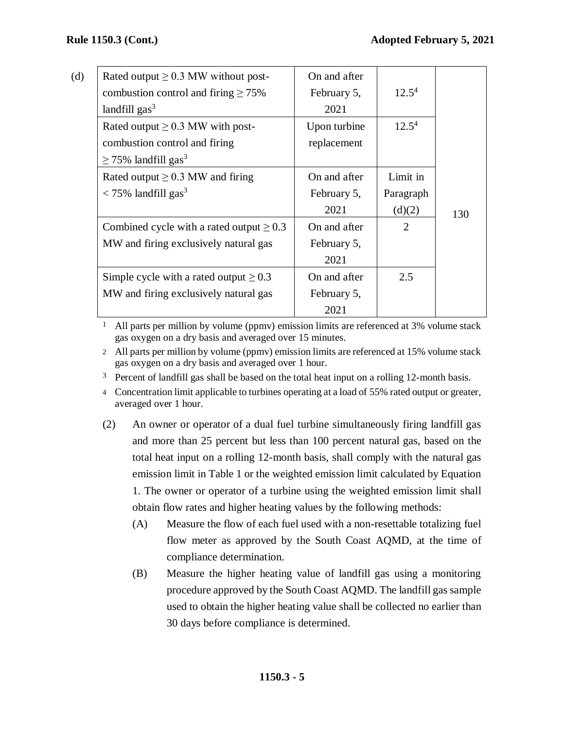| (d) | Rated output $\geq$ 0.3 MW without post-      | On and after |           |     |
|-----|-----------------------------------------------|--------------|-----------|-----|
|     | combustion control and firing $\geq 75\%$     | February 5,  | $12.5^4$  |     |
|     | landfill $gas3$                               | 2021         |           |     |
|     | Rated output $\geq$ 0.3 MW with post-         | Upon turbine | $12.5^4$  |     |
|     | combustion control and firing                 | replacement  |           |     |
|     | $\geq$ 75% landfill gas <sup>3</sup>          |              |           |     |
|     | Rated output $\geq$ 0.3 MW and firing         | On and after | Limit in  |     |
|     | $\langle 75\%$ landfill gas <sup>3</sup>      | February 5,  | Paragraph |     |
|     |                                               | 2021         | (d)(2)    | 130 |
|     | Combined cycle with a rated output $\geq 0.3$ | On and after | 2         |     |
|     | MW and firing exclusively natural gas         | February 5,  |           |     |
|     |                                               | 2021         |           |     |
|     | Simple cycle with a rated output $\geq 0.3$   | On and after | 2.5       |     |
|     | MW and firing exclusively natural gas         | February 5,  |           |     |
|     |                                               | 2021         |           |     |

1 All parts per million by volume (ppmv) emission limits are referenced at 3% volume stack gas oxygen on a dry basis and averaged over 15 minutes.

2 All parts per million by volume (ppmv) emission limits are referenced at 15% volume stack gas oxygen on a dry basis and averaged over 1 hour.

 $3$  Percent of landfill gas shall be based on the total heat input on a rolling 12-month basis.

4 Concentration limit applicable to turbines operating at a load of 55% rated output or greater, averaged over 1 hour.

- (2) An owner or operator of a dual fuel turbine simultaneously firing landfill gas and more than 25 percent but less than 100 percent natural gas, based on the total heat input on a rolling 12-month basis, shall comply with the natural gas emission limit in Table 1 or the weighted emission limit calculated by Equation 1. The owner or operator of a turbine using the weighted emission limit shall obtain flow rates and higher heating values by the following methods:
	- (A) Measure the flow of each fuel used with a non-resettable totalizing fuel flow meter as approved by the South Coast AQMD, at the time of compliance determination.
	- (B) Measure the higher heating value of landfill gas using a monitoring procedure approved by the South Coast AQMD. The landfill gas sample used to obtain the higher heating value shall be collected no earlier than 30 days before compliance is determined.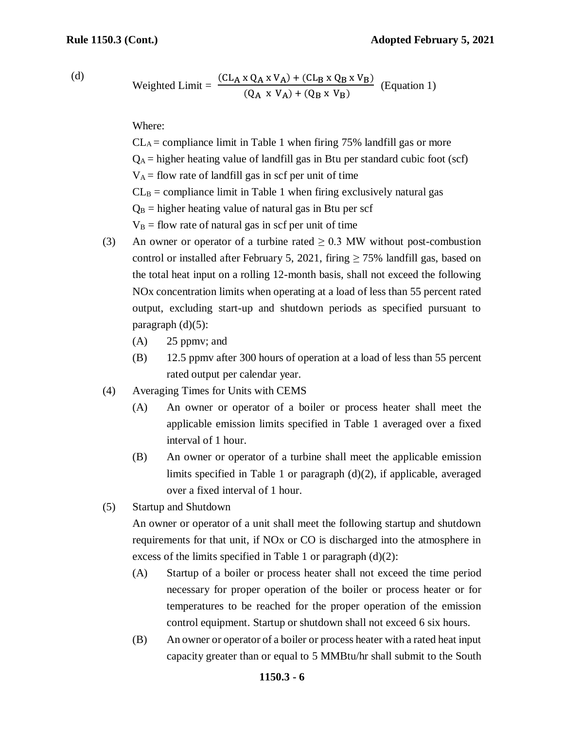(d)

Weighted Limit = 
$$
\frac{(CL_A \times Q_A \times V_A) + (CL_B \times Q_B \times V_B)}{(Q_A \times V_A) + (Q_B \times V_B)}
$$
 (Equation 1)

Where:

 $CL_A =$  compliance limit in Table 1 when firing 75% landfill gas or more  $Q_A$  = higher heating value of landfill gas in Btu per standard cubic foot (scf)  $V_A$  = flow rate of landfill gas in scf per unit of time  $CL<sub>B</sub> =$  compliance limit in Table 1 when firing exclusively natural gas  $Q_B$  = higher heating value of natural gas in Btu per scf  $V_B$  = flow rate of natural gas in scf per unit of time

- (3) An owner or operator of a turbine rated  $\geq$  0.3 MW without post-combustion control or installed after February 5, 2021, firing  $\geq$  75% landfill gas, based on the total heat input on a rolling 12-month basis, shall not exceed the following NOx concentration limits when operating at a load of less than 55 percent rated output, excluding start-up and shutdown periods as specified pursuant to paragraph  $(d)(5)$ :
	- (A) 25 ppmv; and
	- (B) 12.5 ppmv after 300 hours of operation at a load of less than 55 percent rated output per calendar year.
- (4) Averaging Times for Units with CEMS
	- (A) An owner or operator of a boiler or process heater shall meet the applicable emission limits specified in Table 1 averaged over a fixed interval of 1 hour.
	- (B) An owner or operator of a turbine shall meet the applicable emission limits specified in Table 1 or paragraph (d)(2), if applicable, averaged over a fixed interval of 1 hour.
- (5) Startup and Shutdown

An owner or operator of a unit shall meet the following startup and shutdown requirements for that unit, if NOx or CO is discharged into the atmosphere in excess of the limits specified in Table 1 or paragraph  $(d)(2)$ :

- (A) Startup of a boiler or process heater shall not exceed the time period necessary for proper operation of the boiler or process heater or for temperatures to be reached for the proper operation of the emission control equipment. Startup or shutdown shall not exceed 6 six hours.
- (B) An owner or operator of a boiler or process heater with a rated heat input capacity greater than or equal to 5 MMBtu/hr shall submit to the South

#### **1150.3 - 6**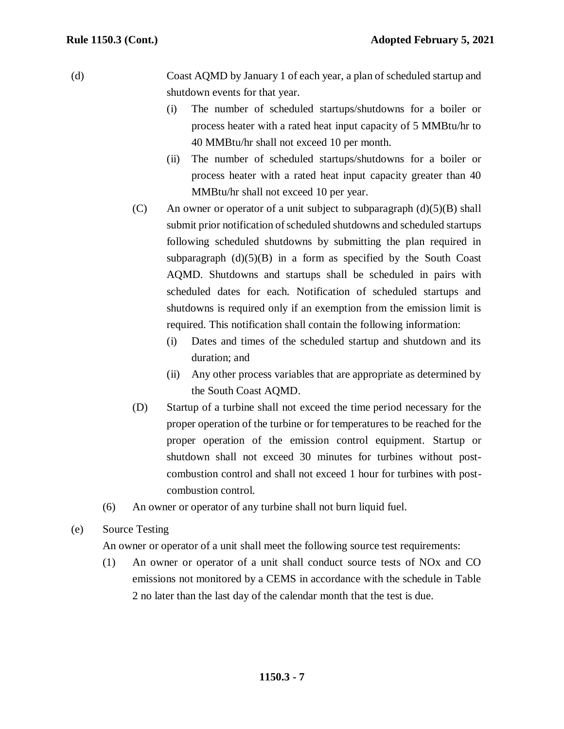(d) Coast AQMD by January 1 of each year, a plan of scheduled startup and shutdown events for that year.

- (i) The number of scheduled startups/shutdowns for a boiler or process heater with a rated heat input capacity of 5 MMBtu/hr to 40 MMBtu/hr shall not exceed 10 per month.
- (ii) The number of scheduled startups/shutdowns for a boiler or process heater with a rated heat input capacity greater than 40 MMBtu/hr shall not exceed 10 per year.
- (C) An owner or operator of a unit subject to subparagraph  $(d)(5)(B)$  shall submit prior notification of scheduled shutdowns and scheduled startups following scheduled shutdowns by submitting the plan required in subparagraph  $(d)(5)(B)$  in a form as specified by the South Coast AQMD. Shutdowns and startups shall be scheduled in pairs with scheduled dates for each. Notification of scheduled startups and shutdowns is required only if an exemption from the emission limit is required. This notification shall contain the following information:
	- (i) Dates and times of the scheduled startup and shutdown and its duration; and
	- (ii) Any other process variables that are appropriate as determined by the South Coast AQMD.
- (D) Startup of a turbine shall not exceed the time period necessary for the proper operation of the turbine or for temperatures to be reached for the proper operation of the emission control equipment. Startup or shutdown shall not exceed 30 minutes for turbines without postcombustion control and shall not exceed 1 hour for turbines with postcombustion control.
- (6) An owner or operator of any turbine shall not burn liquid fuel.
- (e) Source Testing

An owner or operator of a unit shall meet the following source test requirements:

(1) An owner or operator of a unit shall conduct source tests of NOx and CO emissions not monitored by a CEMS in accordance with the schedule in Table 2 no later than the last day of the calendar month that the test is due.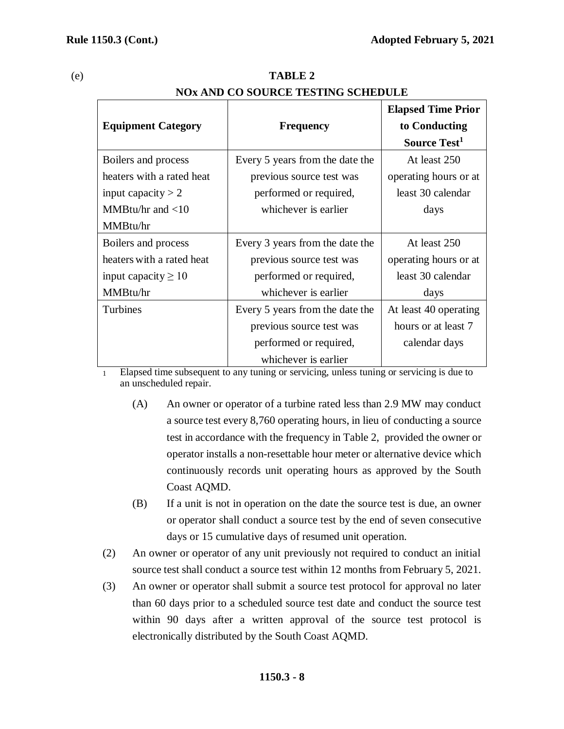|                           |                                 | <b>Elapsed Time Prior</b> |
|---------------------------|---------------------------------|---------------------------|
| <b>Equipment Category</b> | <b>Frequency</b>                | to Conducting             |
|                           |                                 | Source Test <sup>1</sup>  |
| Boilers and process       | Every 5 years from the date the | At least 250              |
| heaters with a rated heat | previous source test was        | operating hours or at     |
| input capacity $> 2$      | performed or required,          | least 30 calendar         |
| MMBtu/hr and $<$ 10       | whichever is earlier            | days                      |
| MMBtu/hr                  |                                 |                           |
| Boilers and process       | Every 3 years from the date the | At least 250              |
| heaters with a rated heat | previous source test was        | operating hours or at     |
| input capacity $\geq 10$  | performed or required,          | least 30 calendar         |
| MMBtu/hr                  | whichever is earlier            | days                      |
| Turbines                  | Every 5 years from the date the | At least 40 operating     |
|                           | previous source test was        | hours or at least 7       |
|                           | performed or required,          | calendar days             |
|                           | whichever is earlier            |                           |

### (e) **TABLE 2 NOx AND CO SOURCE TESTING SCHEDULE**

1 Elapsed time subsequent to any tuning or servicing, unless tuning or servicing is due to an unscheduled repair.

- (A) An owner or operator of a turbine rated less than 2.9 MW may conduct a source test every 8,760 operating hours, in lieu of conducting a source test in accordance with the frequency in Table 2, provided the owner or operator installs a non-resettable hour meter or alternative device which continuously records unit operating hours as approved by the South Coast AQMD.
- (B) If a unit is not in operation on the date the source test is due, an owner or operator shall conduct a source test by the end of seven consecutive days or 15 cumulative days of resumed unit operation.
- (2) An owner or operator of any unit previously not required to conduct an initial source test shall conduct a source test within 12 months from February 5, 2021.
- (3) An owner or operator shall submit a source test protocol for approval no later than 60 days prior to a scheduled source test date and conduct the source test within 90 days after a written approval of the source test protocol is electronically distributed by the South Coast AQMD.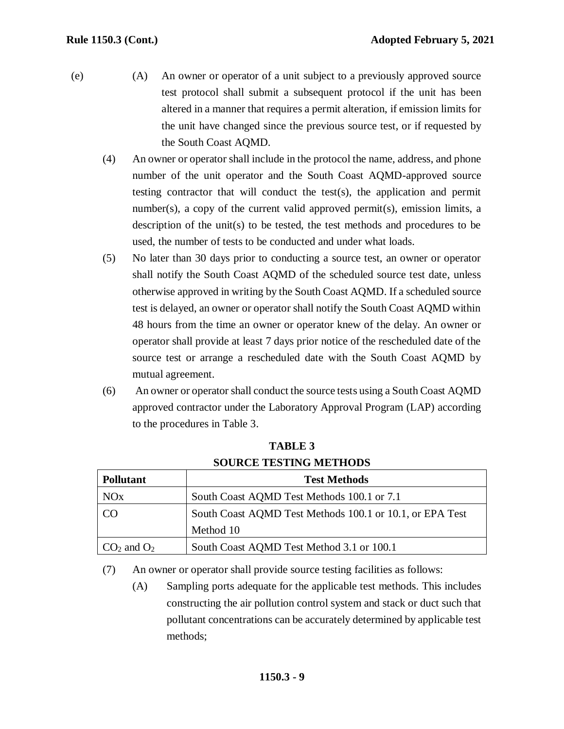- (e) (A) An owner or operator of a unit subject to a previously approved source test protocol shall submit a subsequent protocol if the unit has been altered in a manner that requires a permit alteration, if emission limits for the unit have changed since the previous source test, or if requested by the South Coast AQMD.
	- (4) An owner or operator shall include in the protocol the name, address, and phone number of the unit operator and the South Coast AQMD-approved source testing contractor that will conduct the test(s), the application and permit number(s), a copy of the current valid approved permit(s), emission limits, a description of the unit(s) to be tested, the test methods and procedures to be used, the number of tests to be conducted and under what loads.
	- (5) No later than 30 days prior to conducting a source test, an owner or operator shall notify the South Coast AQMD of the scheduled source test date, unless otherwise approved in writing by the South Coast AQMD. If a scheduled source test is delayed, an owner or operator shall notify the South Coast AQMD within 48 hours from the time an owner or operator knew of the delay. An owner or operator shall provide at least 7 days prior notice of the rescheduled date of the source test or arrange a rescheduled date with the South Coast AQMD by mutual agreement.
	- (6) An owner or operator shall conduct the source tests using a South Coast AQMD approved contractor under the Laboratory Approval Program (LAP) according to the procedures in Table 3.

| <b>Pollutant</b>      | <b>Test Methods</b>                                      |  |
|-----------------------|----------------------------------------------------------|--|
|                       |                                                          |  |
| <b>NO<sub>x</sub></b> | South Coast AQMD Test Methods 100.1 or 7.1               |  |
| <b>CO</b>             | South Coast AQMD Test Methods 100.1 or 10.1, or EPA Test |  |
|                       | Method 10                                                |  |
| $CO2$ and $O2$        | South Coast AQMD Test Method 3.1 or 100.1                |  |

**TABLE 3 SOURCE TESTING METHODS**

(7) An owner or operator shall provide source testing facilities as follows:

(A) Sampling ports adequate for the applicable test methods. This includes constructing the air pollution control system and stack or duct such that pollutant concentrations can be accurately determined by applicable test methods;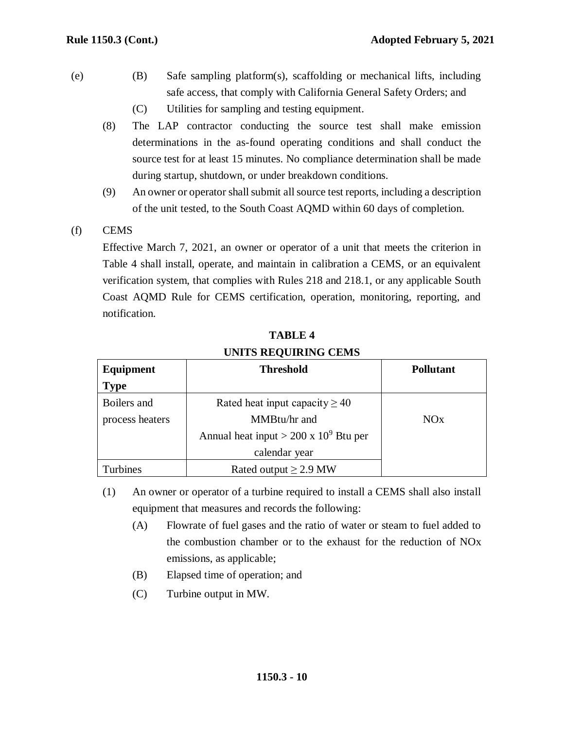- (e) (B) Safe sampling platform(s), scaffolding or mechanical lifts, including safe access, that comply with California General Safety Orders; and
	- (C) Utilities for sampling and testing equipment.
	- (8) The LAP contractor conducting the source test shall make emission determinations in the as-found operating conditions and shall conduct the source test for at least 15 minutes. No compliance determination shall be made during startup, shutdown, or under breakdown conditions.
	- (9) An owner or operator shall submit allsource test reports, including a description of the unit tested, to the South Coast AQMD within 60 days of completion.
- (f) CEMS

Effective March 7, 2021, an owner or operator of a unit that meets the criterion in Table 4 shall install, operate, and maintain in calibration a CEMS, or an equivalent verification system, that complies with Rules 218 and 218.1, or any applicable South Coast AQMD Rule for CEMS certification, operation, monitoring, reporting, and notification.

| Equipment            | <b>Threshold</b>                              | <b>Pollutant</b> |
|----------------------|-----------------------------------------------|------------------|
| <b>Type</b>          |                                               |                  |
| Boilers and          | Rated heat input capacity $\geq 40$           |                  |
| process heaters      | MMBtu/hr and                                  | NOx              |
|                      | Annual heat input > $200 \times 10^9$ Btu per |                  |
|                      | calendar year                                 |                  |
| urbines <sup>'</sup> | Rated output $\geq$ 2.9 MW                    |                  |

**TABLE 4 UNITS REQUIRING CEMS**

- (1) An owner or operator of a turbine required to install a CEMS shall also install equipment that measures and records the following:
	- (A) Flowrate of fuel gases and the ratio of water or steam to fuel added to the combustion chamber or to the exhaust for the reduction of NOx emissions, as applicable;
	- (B) Elapsed time of operation; and
	- (C) Turbine output in MW.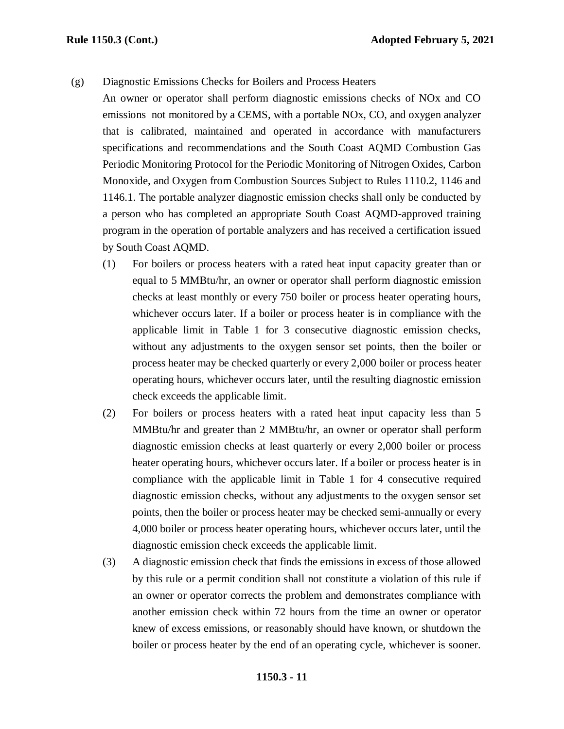(g) Diagnostic Emissions Checks for Boilers and Process Heaters

An owner or operator shall perform diagnostic emissions checks of NOx and CO emissions not monitored by a CEMS, with a portable NOx, CO, and oxygen analyzer that is calibrated, maintained and operated in accordance with manufacturers specifications and recommendations and the South Coast AQMD Combustion Gas Periodic Monitoring Protocol for the Periodic Monitoring of Nitrogen Oxides, Carbon Monoxide, and Oxygen from Combustion Sources Subject to Rules 1110.2, 1146 and 1146.1. The portable analyzer diagnostic emission checks shall only be conducted by a person who has completed an appropriate South Coast AQMD-approved training program in the operation of portable analyzers and has received a certification issued by South Coast AQMD.

- (1) For boilers or process heaters with a rated heat input capacity greater than or equal to 5 MMBtu/hr, an owner or operator shall perform diagnostic emission checks at least monthly or every 750 boiler or process heater operating hours, whichever occurs later. If a boiler or process heater is in compliance with the applicable limit in Table 1 for 3 consecutive diagnostic emission checks, without any adjustments to the oxygen sensor set points, then the boiler or process heater may be checked quarterly or every 2,000 boiler or process heater operating hours, whichever occurs later, until the resulting diagnostic emission check exceeds the applicable limit.
- (2) For boilers or process heaters with a rated heat input capacity less than 5 MMBtu/hr and greater than 2 MMBtu/hr, an owner or operator shall perform diagnostic emission checks at least quarterly or every 2,000 boiler or process heater operating hours, whichever occurs later. If a boiler or process heater is in compliance with the applicable limit in Table 1 for 4 consecutive required diagnostic emission checks, without any adjustments to the oxygen sensor set points, then the boiler or process heater may be checked semi-annually or every 4,000 boiler or process heater operating hours, whichever occurs later, until the diagnostic emission check exceeds the applicable limit.
- (3) A diagnostic emission check that finds the emissions in excess of those allowed by this rule or a permit condition shall not constitute a violation of this rule if an owner or operator corrects the problem and demonstrates compliance with another emission check within 72 hours from the time an owner or operator knew of excess emissions, or reasonably should have known, or shutdown the boiler or process heater by the end of an operating cycle, whichever is sooner.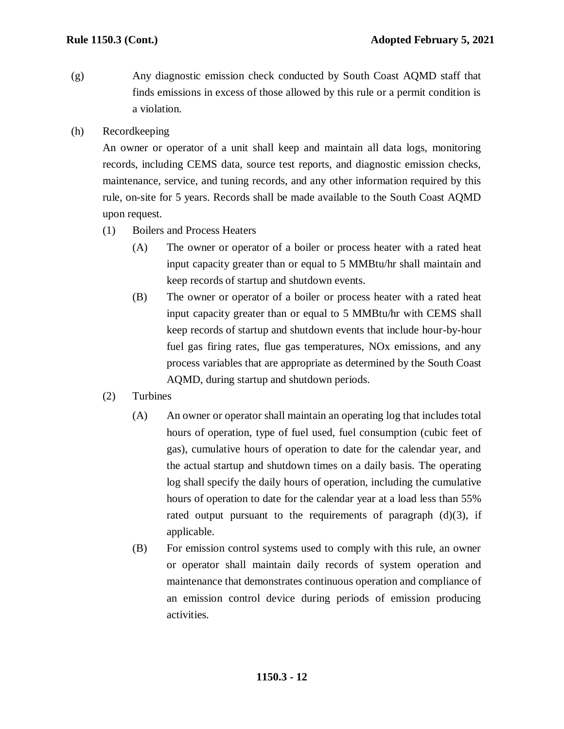- (g) Any diagnostic emission check conducted by South Coast AQMD staff that finds emissions in excess of those allowed by this rule or a permit condition is a violation.
- (h) Recordkeeping

An owner or operator of a unit shall keep and maintain all data logs, monitoring records, including CEMS data, source test reports, and diagnostic emission checks, maintenance, service, and tuning records, and any other information required by this rule, on-site for 5 years. Records shall be made available to the South Coast AQMD upon request.

- (1) Boilers and Process Heaters
	- (A) The owner or operator of a boiler or process heater with a rated heat input capacity greater than or equal to 5 MMBtu/hr shall maintain and keep records of startup and shutdown events.
	- (B) The owner or operator of a boiler or process heater with a rated heat input capacity greater than or equal to 5 MMBtu/hr with CEMS shall keep records of startup and shutdown events that include hour-by-hour fuel gas firing rates, flue gas temperatures, NOx emissions, and any process variables that are appropriate as determined by the South Coast AQMD, during startup and shutdown periods.
- (2) Turbines
	- (A) An owner or operator shall maintain an operating log that includes total hours of operation, type of fuel used, fuel consumption (cubic feet of gas), cumulative hours of operation to date for the calendar year, and the actual startup and shutdown times on a daily basis. The operating log shall specify the daily hours of operation, including the cumulative hours of operation to date for the calendar year at a load less than 55% rated output pursuant to the requirements of paragraph  $(d)(3)$ , if applicable.
	- (B) For emission control systems used to comply with this rule, an owner or operator shall maintain daily records of system operation and maintenance that demonstrates continuous operation and compliance of an emission control device during periods of emission producing activities.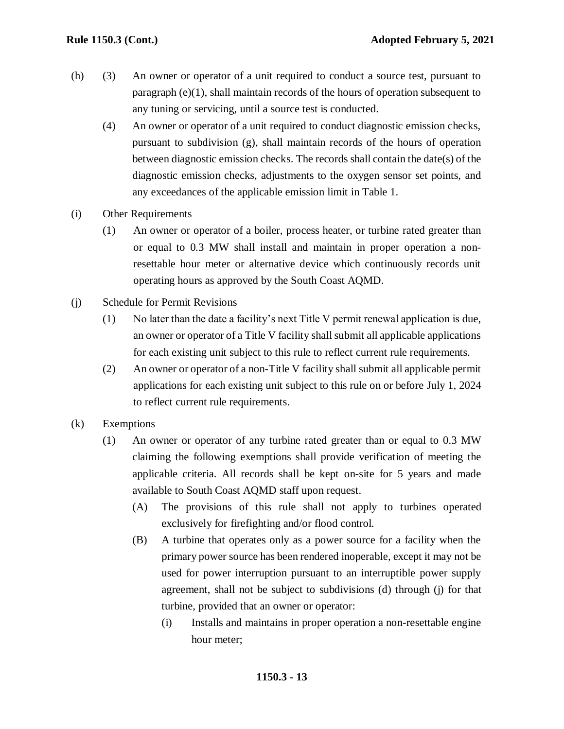- (h) (3) An owner or operator of a unit required to conduct a source test, pursuant to paragraph  $(e)(1)$ , shall maintain records of the hours of operation subsequent to any tuning or servicing, until a source test is conducted.
	- (4) An owner or operator of a unit required to conduct diagnostic emission checks, pursuant to subdivision (g), shall maintain records of the hours of operation between diagnostic emission checks. The records shall contain the date(s) of the diagnostic emission checks, adjustments to the oxygen sensor set points, and any exceedances of the applicable emission limit in Table 1.
- (i) Other Requirements
	- (1) An owner or operator of a boiler, process heater, or turbine rated greater than or equal to 0.3 MW shall install and maintain in proper operation a nonresettable hour meter or alternative device which continuously records unit operating hours as approved by the South Coast AQMD.
- (j) Schedule for Permit Revisions
	- (1) No later than the date a facility's next Title V permit renewal application is due, an owner or operator of a Title V facility shall submit all applicable applications for each existing unit subject to this rule to reflect current rule requirements.
	- (2) An owner or operator of a non-Title V facility shall submit all applicable permit applications for each existing unit subject to this rule on or before July 1, 2024 to reflect current rule requirements.
- (k) Exemptions
	- (1) An owner or operator of any turbine rated greater than or equal to 0.3 MW claiming the following exemptions shall provide verification of meeting the applicable criteria. All records shall be kept on-site for 5 years and made available to South Coast AQMD staff upon request.
		- (A) The provisions of this rule shall not apply to turbines operated exclusively for firefighting and/or flood control.
		- (B) A turbine that operates only as a power source for a facility when the primary power source has been rendered inoperable, except it may not be used for power interruption pursuant to an interruptible power supply agreement, shall not be subject to subdivisions (d) through (j) for that turbine, provided that an owner or operator:
			- (i) Installs and maintains in proper operation a non-resettable engine hour meter;